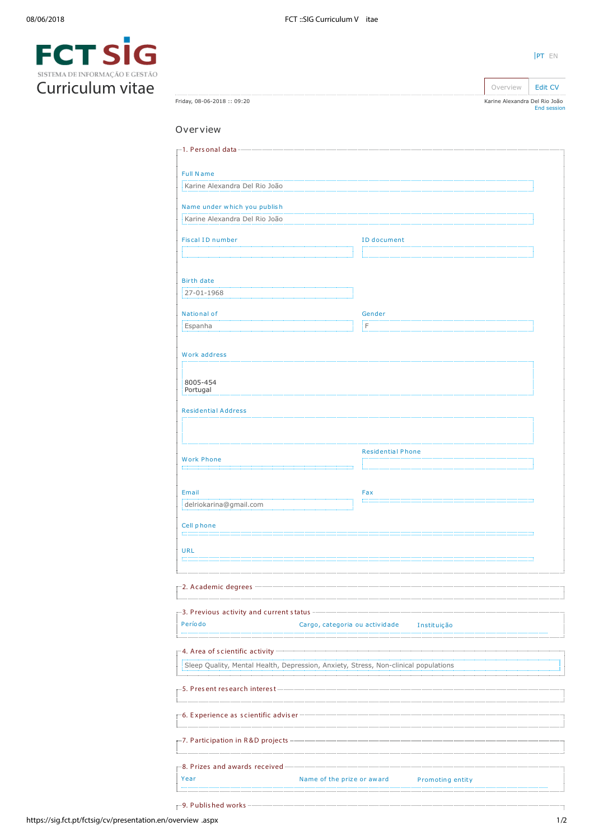| SISTEMA DE INFORMAÇÃO E GESTÃO |  |
|--------------------------------|--|
| Curriculum vitae               |  |

| Friday, 08-06-2018: 09:20                                                                                               |                                                | Karine Alexandra Del Rio João<br>End session |
|-------------------------------------------------------------------------------------------------------------------------|------------------------------------------------|----------------------------------------------|
| Overview                                                                                                                |                                                |                                              |
|                                                                                                                         |                                                |                                              |
|                                                                                                                         |                                                |                                              |
| <b>Full Name</b>                                                                                                        |                                                |                                              |
| Karine Alexandra Del Rio João                                                                                           |                                                |                                              |
| Name under which you publish                                                                                            |                                                |                                              |
| Karine Alexandra Del Rio João                                                                                           |                                                |                                              |
| <b>Fiscal ID number</b>                                                                                                 | <b>ID</b> document                             |                                              |
|                                                                                                                         |                                                |                                              |
|                                                                                                                         |                                                |                                              |
| <b>Birth date</b>                                                                                                       |                                                |                                              |
| 27-01-1968                                                                                                              |                                                |                                              |
| National of                                                                                                             | Gender                                         |                                              |
| Espanha                                                                                                                 | i F.                                           |                                              |
|                                                                                                                         |                                                |                                              |
| Work address                                                                                                            |                                                |                                              |
|                                                                                                                         |                                                |                                              |
| 8005-454<br>Portugal                                                                                                    |                                                |                                              |
|                                                                                                                         |                                                |                                              |
| <b>Residential Address</b>                                                                                              |                                                |                                              |
|                                                                                                                         |                                                |                                              |
|                                                                                                                         |                                                |                                              |
| <b>Work Phone</b>                                                                                                       | <b>Residential Phone</b>                       |                                              |
|                                                                                                                         |                                                |                                              |
| Email                                                                                                                   | Fax                                            |                                              |
| delriokarina@gmail.com                                                                                                  |                                                |                                              |
|                                                                                                                         |                                                |                                              |
| Cell phone                                                                                                              |                                                |                                              |
| <b>URL</b>                                                                                                              |                                                |                                              |
|                                                                                                                         |                                                |                                              |
|                                                                                                                         |                                                |                                              |
|                                                                                                                         |                                                |                                              |
| B. Previous activity and current status <b>Commission Commission Contract Contract Constanting Contract Constanting</b> |                                                |                                              |
| Período                                                                                                                 | Cargo, categoria ou actividade Instituição     |                                              |
|                                                                                                                         |                                                |                                              |
|                                                                                                                         |                                                |                                              |
| Sleep Quality, Mental Health, Depression, Anxiety, Stress, Non-clinical populations                                     |                                                |                                              |
|                                                                                                                         |                                                |                                              |
|                                                                                                                         |                                                |                                              |
|                                                                                                                         |                                                |                                              |
|                                                                                                                         |                                                |                                              |
|                                                                                                                         |                                                |                                              |
|                                                                                                                         |                                                |                                              |
|                                                                                                                         |                                                |                                              |
| Year                                                                                                                    | Name of the prize or award<br>Promoting entity |                                              |
|                                                                                                                         |                                                |                                              |

[PT](https://sig.fct.pt/fctsig/cv/presentation.pt/overview.aspx) EN

Overview | [Edit CV](https://sig.fct.pt/fctsig/cv/presentation.en/editCV.aspx)